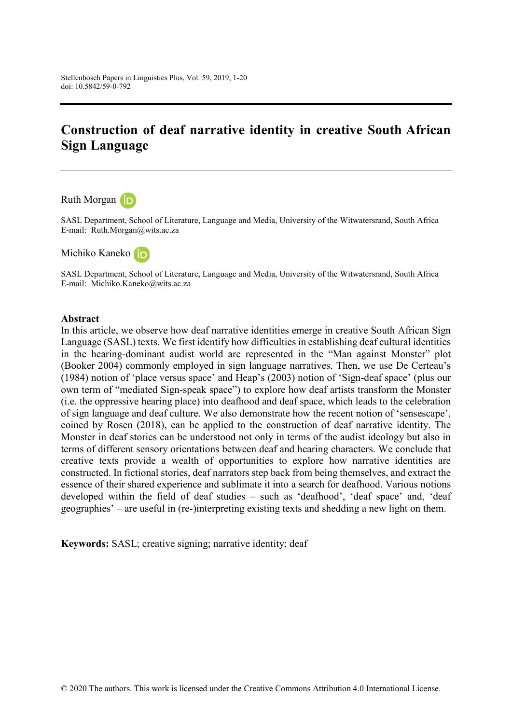# **Construction of deaf narrative identity in creative South African Sign Language**

Ruth Morgan

SASL Department, School of Literature, Language and Media, University of the Witwatersrand, South Africa E-mail: Ruth.Morgan@wits.ac.za

Michiko Kaneko (jp

SASL Department, School of Literature, Language and Media, University of the Witwatersrand, South Africa E-mail: Michiko.Kaneko@wits.ac.za

#### **Abstract**

In this article, we observe how deaf narrative identities emerge in creative South African Sign Language (SASL) texts. We first identify how difficulties in establishing deaf cultural identities in the hearing-dominant audist world are represented in the "Man against Monster" plot (Booker 2004) commonly employed in sign language narratives. Then, we use De Certeau's (1984) notion of 'place versus space' and Heap's (2003) notion of 'Sign-deaf space' (plus our own term of "mediated Sign-speak space") to explore how deaf artists transform the Monster (i.e. the oppressive hearing place) into deafhood and deaf space, which leads to the celebration of sign language and deaf culture. We also demonstrate how the recent notion of 'sensescape', coined by Rosen (2018), can be applied to the construction of deaf narrative identity. The Monster in deaf stories can be understood not only in terms of the audist ideology but also in terms of different sensory orientations between deaf and hearing characters. We conclude that creative texts provide a wealth of opportunities to explore how narrative identities are constructed. In fictional stories, deaf narrators step back from being themselves, and extract the essence of their shared experience and sublimate it into a search for deafhood. Various notions developed within the field of deaf studies – such as 'deafhood', 'deaf space' and, 'deaf geographies' – are useful in (re-)interpreting existing texts and shedding a new light on them.

**Keywords:** SASL; creative signing; narrative identity; deaf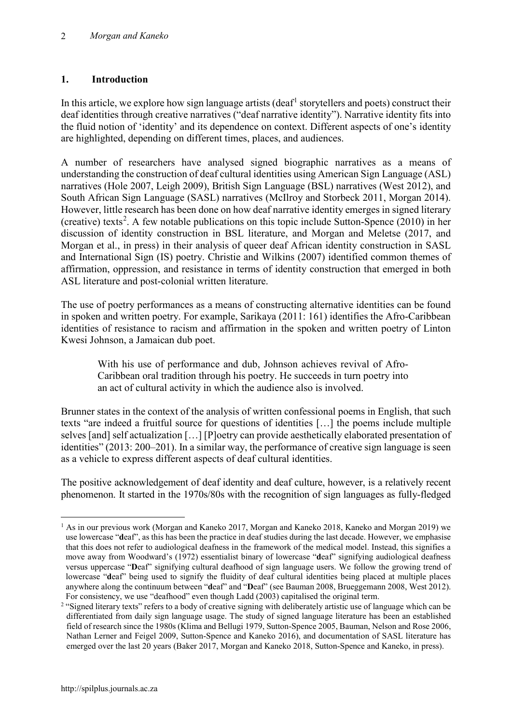### **1. Introduction**

In this article, we explore how sign language artists (deaf<sup>[1](#page-1-0)</sup> storytellers and poets) construct their deaf identities through creative narratives ("deaf narrative identity"). Narrative identity fits into the fluid notion of 'identity' and its dependence on context. Different aspects of one's identity are highlighted, depending on different times, places, and audiences.

A number of researchers have analysed signed biographic narratives as a means of understanding the construction of deaf cultural identities using American Sign Language (ASL) narratives (Hole 2007, Leigh 2009), British Sign Language (BSL) narratives (West 2012), and South African Sign Language (SASL) narratives (McIlroy and Storbeck 2011, Morgan 2014). However, little research has been done on how deaf narrative identity emerges in signed literary (creative) texts<sup>[2](#page-1-1)</sup>. A few notable publications on this topic include Sutton-Spence  $(2010)$  in her discussion of identity construction in BSL literature, and Morgan and Meletse (2017, and Morgan et al., in press) in their analysis of queer deaf African identity construction in SASL and International Sign (IS) poetry. Christie and Wilkins (2007) identified common themes of affirmation, oppression, and resistance in terms of identity construction that emerged in both ASL literature and post-colonial written literature.

The use of poetry performances as a means of constructing alternative identities can be found in spoken and written poetry. For example, Sarikaya (2011: 161) identifies the Afro-Caribbean identities of resistance to racism and affirmation in the spoken and written poetry of Linton Kwesi Johnson, a Jamaican dub poet.

With his use of performance and dub, Johnson achieves revival of Afro-Caribbean oral tradition through his poetry. He succeeds in turn poetry into an act of cultural activity in which the audience also is involved.

Brunner states in the context of the analysis of written confessional poems in English, that such texts "are indeed a fruitful source for questions of identities […] the poems include multiple selves [and] self actualization […] [P]oetry can provide aesthetically elaborated presentation of identities" (2013: 200–201). In a similar way, the performance of creative sign language is seen as a vehicle to express different aspects of deaf cultural identities.

The positive acknowledgement of deaf identity and deaf culture, however, is a relatively recent phenomenon. It started in the 1970s/80s with the recognition of sign languages as fully-fledged

<span id="page-1-0"></span> $1$  As in our previous work (Morgan and Kaneko 2017, Morgan and Kaneko 2018, Kaneko and Morgan 2019) we use lowercase "**d**eaf", as this has been the practice in deaf studies during the last decade. However, we emphasise that this does not refer to audiological deafness in the framework of the medical model. Instead, this signifies a move away from Woodward's (1972) essentialist binary of lowercase "**d**eaf" signifying audiological deafness versus uppercase "**D**eaf" signifying cultural deafhood of sign language users. We follow the growing trend of lowercase "**d**eaf" being used to signify the fluidity of deaf cultural identities being placed at multiple places anywhere along the continuum between "**d**eaf" and "**D**eaf" (see Bauman 2008, Brueggemann 2008, West 2012). For consistency, we use "deafhood" even though Ladd (2003) capitalised the original term.

<span id="page-1-1"></span><sup>&</sup>lt;sup>2</sup> "Signed literary texts" refers to a body of creative signing with deliberately artistic use of language which can be differentiated from daily sign language usage. The study of signed language literature has been an established field of research since the 1980s (Klima and Bellugi 1979, Sutton-Spence 2005, Bauman, Nelson and Rose 2006, Nathan Lerner and Feigel 2009, Sutton-Spence and Kaneko 2016), and documentation of SASL literature has emerged over the last 20 years (Baker 2017, Morgan and Kaneko 2018, Sutton-Spence and Kaneko, in press).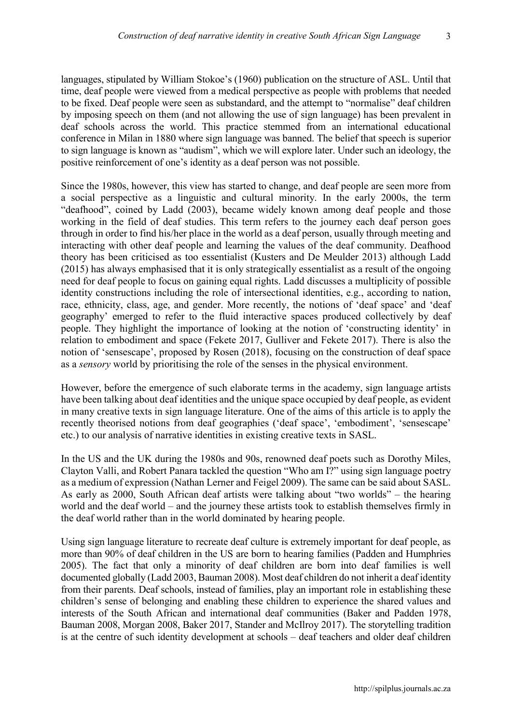languages, stipulated by William Stokoe's (1960) publication on the structure of ASL. Until that time, deaf people were viewed from a medical perspective as people with problems that needed to be fixed. Deaf people were seen as substandard, and the attempt to "normalise" deaf children by imposing speech on them (and not allowing the use of sign language) has been prevalent in deaf schools across the world. This practice stemmed from an international educational conference in Milan in 1880 where sign language was banned. The belief that speech is superior to sign language is known as "audism", which we will explore later. Under such an ideology, the positive reinforcement of one's identity as a deaf person was not possible.

Since the 1980s, however, this view has started to change, and deaf people are seen more from a social perspective as a linguistic and cultural minority. In the early 2000s, the term "deafhood", coined by Ladd (2003), became widely known among deaf people and those working in the field of deaf studies. This term refers to the journey each deaf person goes through in order to find his/her place in the world as a deaf person, usually through meeting and interacting with other deaf people and learning the values of the deaf community. Deafhood theory has been criticised as too essentialist (Kusters and De Meulder 2013) although Ladd (2015) has always emphasised that it is only strategically essentialist as a result of the ongoing need for deaf people to focus on gaining equal rights. Ladd discusses a multiplicity of possible identity constructions including the role of intersectional identities, e.g., according to nation, race, ethnicity, class, age, and gender. More recently, the notions of 'deaf space' and 'deaf geography' emerged to refer to the fluid interactive spaces produced collectively by deaf people. They highlight the importance of looking at the notion of 'constructing identity' in relation to embodiment and space (Fekete 2017, Gulliver and Fekete 2017). There is also the notion of 'sensescape', proposed by Rosen (2018), focusing on the construction of deaf space as a *sensory* world by prioritising the role of the senses in the physical environment.

However, before the emergence of such elaborate terms in the academy, sign language artists have been talking about deaf identities and the unique space occupied by deaf people, as evident in many creative texts in sign language literature. One of the aims of this article is to apply the recently theorised notions from deaf geographies ('deaf space', 'embodiment', 'sensescape' etc.) to our analysis of narrative identities in existing creative texts in SASL.

In the US and the UK during the 1980s and 90s, renowned deaf poets such as Dorothy Miles, Clayton Valli, and Robert Panara tackled the question "Who am I?" using sign language poetry as a medium of expression (Nathan Lerner and Feigel 2009). The same can be said about SASL. As early as 2000, South African deaf artists were talking about "two worlds" – the hearing world and the deaf world – and the journey these artists took to establish themselves firmly in the deaf world rather than in the world dominated by hearing people.

Using sign language literature to recreate deaf culture is extremely important for deaf people, as more than 90% of deaf children in the US are born to hearing families (Padden and Humphries 2005). The fact that only a minority of deaf children are born into deaf families is well documented globally (Ladd 2003, Bauman 2008). Most deaf children do not inherit a deaf identity from their parents. Deaf schools, instead of families, play an important role in establishing these children's sense of belonging and enabling these children to experience the shared values and interests of the South African and international deaf communities (Baker and Padden 1978, Bauman 2008, Morgan 2008, Baker 2017, Stander and McIlroy 2017). The storytelling tradition is at the centre of such identity development at schools – deaf teachers and older deaf children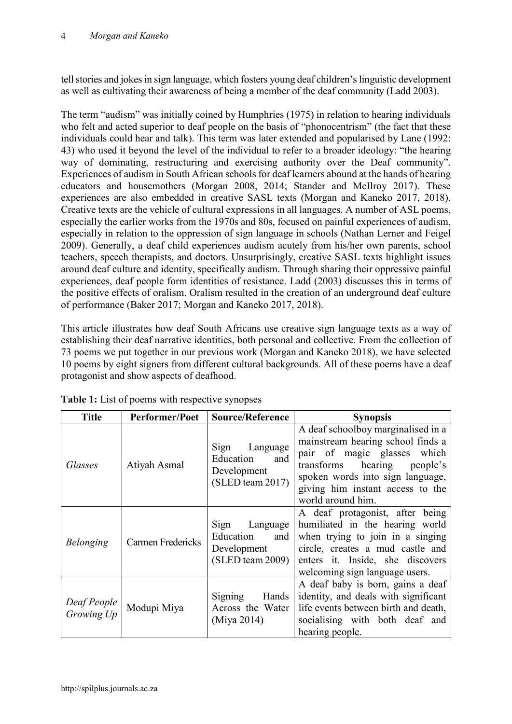tell stories and jokes in sign language, which fosters young deaf children's linguistic development as well as cultivating their awareness of being a member of the deaf community (Ladd 2003).

The term "audism" was initially coined by Humphries (1975) in relation to hearing individuals who felt and acted superior to deaf people on the basis of "phonocentrism" (the fact that these individuals could hear and talk). This term was later extended and popularised by Lane (1992: 43) who used it beyond the level of the individual to refer to a broader ideology: "the hearing way of dominating, restructuring and exercising authority over the Deaf community". Experiences of audism in South African schools for deaf learners abound at the hands of hearing educators and housemothers (Morgan 2008, 2014; Stander and McIlroy 2017). These experiences are also embedded in creative SASL texts (Morgan and Kaneko 2017, 2018). Creative texts are the vehicle of cultural expressions in all languages. A number of ASL poems, especially the earlier works from the 1970s and 80s, focused on painful experiences of audism, especially in relation to the oppression of sign language in schools (Nathan Lerner and Feigel 2009). Generally, a deaf child experiences audism acutely from his/her own parents, school teachers, speech therapists, and doctors. Unsurprisingly, creative SASL texts highlight issues around deaf culture and identity, specifically audism. Through sharing their oppressive painful experiences, deaf people form identities of resistance. Ladd (2003) discusses this in terms of the positive effects of oralism. Oralism resulted in the creation of an underground deaf culture of performance (Baker 2017; Morgan and Kaneko 2017, 2018).

This article illustrates how deaf South Africans use creative sign language texts as a way of establishing their deaf narrative identities, both personal and collective. From the collection of 73 poems we put together in our previous work (Morgan and Kaneko 2018), we have selected 10 poems by eight signers from different cultural backgrounds. All of these poems have a deaf protagonist and show aspects of deafhood.

| <b>Title</b>              | Performer/Poet    | <b>Source/Reference</b>                                                      | <b>Synopsis</b>                                                                                                                                                                                                                    |
|---------------------------|-------------------|------------------------------------------------------------------------------|------------------------------------------------------------------------------------------------------------------------------------------------------------------------------------------------------------------------------------|
| Glasses                   | Atiyah Asmal      | Sign Language<br>Education<br>and<br>Development<br>(SLED team 2017)         | A deaf schoolboy marginalised in a<br>mainstream hearing school finds a<br>pair of magic glasses which<br>transforms hearing people's<br>spoken words into sign language,<br>giving him instant access to the<br>world around him. |
| <b>Belonging</b>          | Carmen Fredericks | Sign Language<br>Education<br>and<br>Development<br>$(SLED \, team \, 2009)$ | A deaf protagonist, after being<br>humiliated in the hearing world<br>when trying to join in a singing<br>circle, creates a mud castle and<br>enters it. Inside, she discovers<br>welcoming sign language users.                   |
| Deaf People<br>Growing Up | Modupi Miya       | Signing<br>Hands<br>Across the Water<br>(Miya 2014)                          | A deaf baby is born, gains a deaf<br>identity, and deals with significant<br>life events between birth and death,<br>socialising with both deaf and<br>hearing people.                                                             |

**Table 1:** List of poems with respective synopses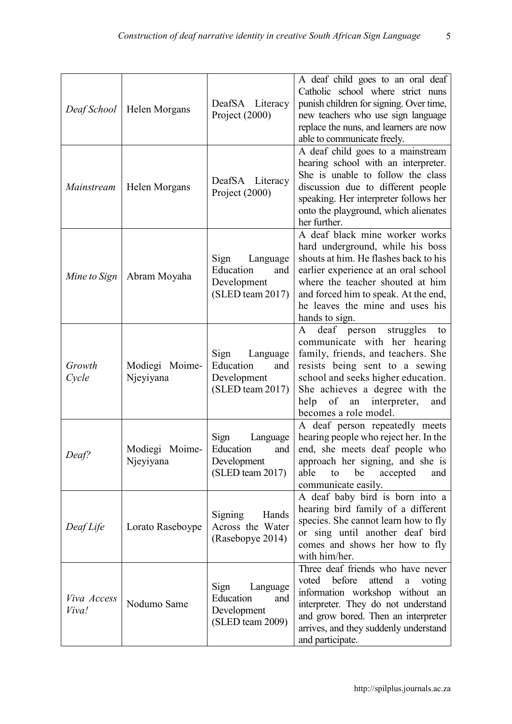| Deaf School          | Helen Morgans               | DeafSA Literacy<br>Project (2000)                                       | A deaf child goes to an oral deaf<br>Catholic school where strict nuns<br>punish children for signing. Over time,<br>new teachers who use sign language<br>replace the nuns, and learners are now<br>able to communicate freely.                                                     |
|----------------------|-----------------------------|-------------------------------------------------------------------------|--------------------------------------------------------------------------------------------------------------------------------------------------------------------------------------------------------------------------------------------------------------------------------------|
| Mainstream           | Helen Morgans               | DeafSA Literacy<br>Project (2000)                                       | A deaf child goes to a mainstream<br>hearing school with an interpreter.<br>She is unable to follow the class<br>discussion due to different people<br>speaking. Her interpreter follows her<br>onto the playground, which alienates<br>her further.                                 |
| Mine to Sign         | Abram Moyaha                | Sign<br>Language<br>Education<br>and<br>Development<br>(SLED team 2017) | A deaf black mine worker works<br>hard underground, while his boss<br>shouts at him. He flashes back to his<br>earlier experience at an oral school<br>where the teacher shouted at him<br>and forced him to speak. At the end,<br>he leaves the mine and uses his<br>hands to sign. |
| Growth<br>Cycle      | Modiegi Moime-<br>Njeyiyana | Sign<br>Language<br>Education<br>and<br>Development<br>(SLED team 2017) | struggles<br>deaf person<br>A<br>to<br>communicate with her hearing<br>family, friends, and teachers. She<br>resists being sent to a sewing<br>school and seeks higher education.<br>She achieves a degree with the<br>help<br>of<br>an interpreter,<br>and<br>becomes a role model. |
| Deaf?                | Modiegi Moime-<br>Njeyiyana | Sign<br>Language<br>Education<br>and<br>Development<br>(SLED team 2017) | A deaf person repeatedly meets<br>hearing people who reject her. In the<br>end, she meets deaf people who<br>approach her signing, and she is<br>able<br>be<br>to<br>accepted<br>and<br>communicate easily.                                                                          |
| Deaf Life            | Lorato Raseboype            | Signing<br>Hands<br>Across the Water<br>(Rasebopye 2014)                | A deaf baby bird is born into a<br>hearing bird family of a different<br>species. She cannot learn how to fly<br>or sing until another deaf bird<br>comes and shows her how to fly<br>with him/her.                                                                                  |
| Viva Access<br>Viva! | Nodumo Same                 | Sign<br>Language<br>Education<br>and<br>Development<br>(SLED team 2009) | Three deaf friends who have never<br>before<br>attend<br>voted<br>voting<br>a<br>information workshop without an<br>interpreter. They do not understand<br>and grow bored. Then an interpreter<br>arrives, and they suddenly understand<br>and participate.                          |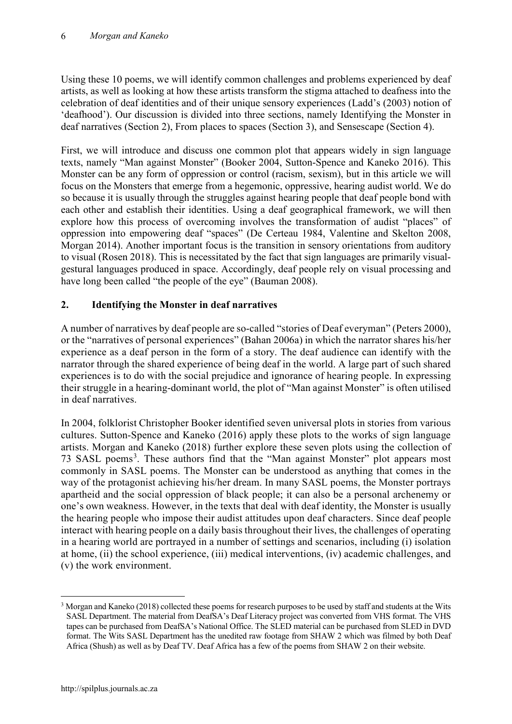Using these 10 poems, we will identify common challenges and problems experienced by deaf artists, as well as looking at how these artists transform the stigma attached to deafness into the celebration of deaf identities and of their unique sensory experiences (Ladd's (2003) notion of 'deafhood'). Our discussion is divided into three sections, namely Identifying the Monster in deaf narratives (Section 2), From places to spaces (Section 3), and Sensescape (Section 4).

First, we will introduce and discuss one common plot that appears widely in sign language texts, namely "Man against Monster" (Booker 2004, Sutton-Spence and Kaneko 2016). This Monster can be any form of oppression or control (racism, sexism), but in this article we will focus on the Monsters that emerge from a hegemonic, oppressive, hearing audist world. We do so because it is usually through the struggles against hearing people that deaf people bond with each other and establish their identities. Using a deaf geographical framework, we will then explore how this process of overcoming involves the transformation of audist "places" of oppression into empowering deaf "spaces" (De Certeau 1984, Valentine and Skelton 2008, Morgan 2014). Another important focus is the transition in sensory orientations from auditory to visual (Rosen 2018). This is necessitated by the fact that sign languages are primarily visualgestural languages produced in space. Accordingly, deaf people rely on visual processing and have long been called "the people of the eye" (Bauman 2008).

## **2. Identifying the Monster in deaf narratives**

A number of narratives by deaf people are so-called "stories of Deaf everyman" (Peters 2000), or the "narratives of personal experiences" (Bahan 2006a) in which the narrator shares his/her experience as a deaf person in the form of a story. The deaf audience can identify with the narrator through the shared experience of being deaf in the world. A large part of such shared experiences is to do with the social prejudice and ignorance of hearing people. In expressing their struggle in a hearing-dominant world, the plot of "Man against Monster" is often utilised in deaf narratives.

In 2004, folklorist Christopher Booker identified seven universal plots in stories from various cultures. Sutton-Spence and Kaneko (2016) apply these plots to the works of sign language artists. Morgan and Kaneko (2018) further explore these seven plots using the collection of 7[3](#page-5-0) SASL poems<sup>3</sup>. These authors find that the "Man against Monster" plot appears most commonly in SASL poems. The Monster can be understood as anything that comes in the way of the protagonist achieving his/her dream. In many SASL poems, the Monster portrays apartheid and the social oppression of black people; it can also be a personal archenemy or one's own weakness. However, in the texts that deal with deaf identity, the Monster is usually the hearing people who impose their audist attitudes upon deaf characters. Since deaf people interact with hearing people on a daily basis throughout their lives, the challenges of operating in a hearing world are portrayed in a number of settings and scenarios, including (i) isolation at home, (ii) the school experience, (iii) medical interventions, (iv) academic challenges, and (v) the work environment.

<span id="page-5-0"></span><sup>&</sup>lt;sup>3</sup> Morgan and Kaneko (2018) collected these poems for research purposes to be used by staff and students at the Wits SASL Department. The material from DeafSA's Deaf Literacy project was converted from VHS format. The VHS tapes can be purchased from DeafSA's National Office. The SLED material can be purchased from SLED in DVD format. The Wits SASL Department has the unedited raw footage from SHAW 2 which was filmed by both Deaf Africa (Shush) as well as by Deaf TV. Deaf Africa has a few of the poems from SHAW 2 on their website.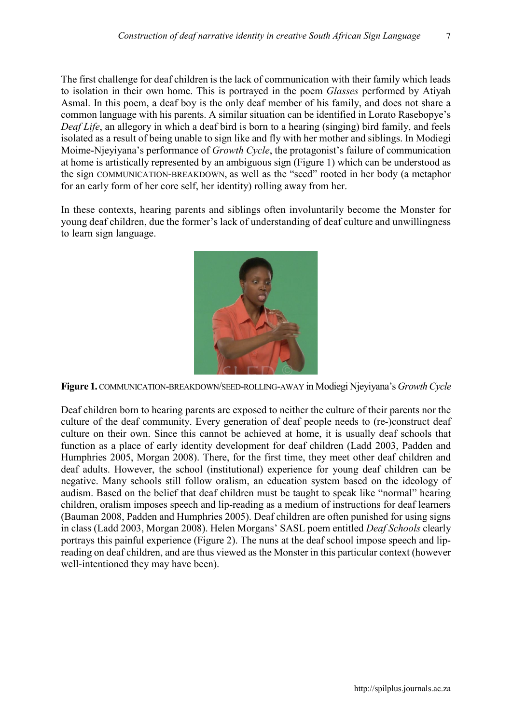The first challenge for deaf children is the lack of communication with their family which leads to isolation in their own home. This is portrayed in the poem *Glasses* performed by Atiyah Asmal. In this poem, a deaf boy is the only deaf member of his family, and does not share a common language with his parents. A similar situation can be identified in Lorato Rasebopye's *Deaf Life*, an allegory in which a deaf bird is born to a hearing (singing) bird family, and feels isolated as a result of being unable to sign like and fly with her mother and siblings. In Modiegi Moime-Njeyiyana's performance of *Growth Cycle*, the protagonist's failure of communication at home is artistically represented by an ambiguous sign (Figure 1) which can be understood as the sign COMMUNICATION-BREAKDOWN, as well as the "seed" rooted in her body (a metaphor for an early form of her core self, her identity) rolling away from her.

In these contexts, hearing parents and siblings often involuntarily become the Monster for young deaf children, due the former's lack of understanding of deaf culture and unwillingness to learn sign language.



**Figure 1.** COMMUNICATION-BREAKDOWN/SEED-ROLLING-AWAY in Modiegi Njeyiyana's *Growth Cycle*

Deaf children born to hearing parents are exposed to neither the culture of their parents nor the culture of the deaf community. Every generation of deaf people needs to (re-)construct deaf culture on their own. Since this cannot be achieved at home, it is usually deaf schools that function as a place of early identity development for deaf children (Ladd 2003, Padden and Humphries 2005, Morgan 2008). There, for the first time, they meet other deaf children and deaf adults. However, the school (institutional) experience for young deaf children can be negative. Many schools still follow oralism, an education system based on the ideology of audism. Based on the belief that deaf children must be taught to speak like "normal" hearing children, oralism imposes speech and lip-reading as a medium of instructions for deaf learners (Bauman 2008, Padden and Humphries 2005). Deaf children are often punished for using signs in class (Ladd 2003, Morgan 2008). Helen Morgans' SASL poem entitled *Deaf Schools* clearly portrays this painful experience (Figure 2). The nuns at the deaf school impose speech and lipreading on deaf children, and are thus viewed as the Monster in this particular context (however well-intentioned they may have been).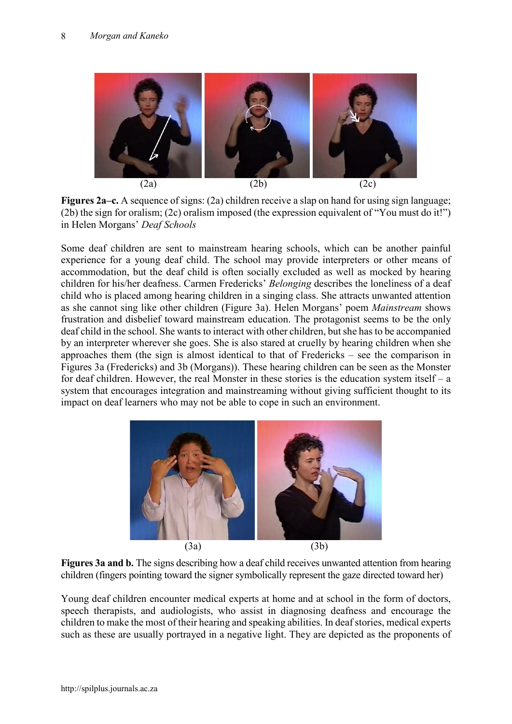

**Figures 2a–c.** A sequence of signs: (2a) children receive a slap on hand for using sign language; (2b) the sign for oralism; (2c) oralism imposed (the expression equivalent of "You must do it!") in Helen Morgans' *Deaf Schools*

Some deaf children are sent to mainstream hearing schools, which can be another painful experience for a young deaf child. The school may provide interpreters or other means of accommodation, but the deaf child is often socially excluded as well as mocked by hearing children for his/her deafness. Carmen Fredericks' *Belonging* describes the loneliness of a deaf child who is placed among hearing children in a singing class. She attracts unwanted attention as she cannot sing like other children (Figure 3a). Helen Morgans' poem *Mainstream* shows frustration and disbelief toward mainstream education. The protagonist seems to be the only deaf child in the school. She wants to interact with other children, but she has to be accompanied by an interpreter wherever she goes. She is also stared at cruelly by hearing children when she approaches them (the sign is almost identical to that of Fredericks – see the comparison in Figures 3a (Fredericks) and 3b (Morgans)). These hearing children can be seen as the Monster for deaf children. However, the real Monster in these stories is the education system itself – a system that encourages integration and mainstreaming without giving sufficient thought to its impact on deaf learners who may not be able to cope in such an environment.



**Figures 3a and b.** The signs describing how a deaf child receives unwanted attention from hearing children (fingers pointing toward the signer symbolically represent the gaze directed toward her)

Young deaf children encounter medical experts at home and at school in the form of doctors, speech therapists, and audiologists, who assist in diagnosing deafness and encourage the children to make the most of their hearing and speaking abilities. In deaf stories, medical experts such as these are usually portrayed in a negative light. They are depicted as the proponents of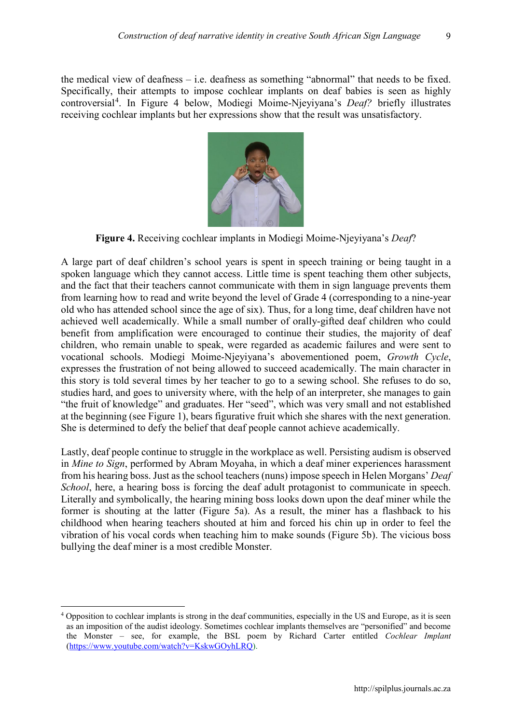the medical view of deafness – i.e. deafness as something "abnormal" that needs to be fixed. Specifically, their attempts to impose cochlear implants on deaf babies is seen as highly controversial<sup>[4](#page-8-0)</sup>. In Figure 4 below, Modiegi Moime-Njeyiyana's *Deaf?* briefly illustrates receiving cochlear implants but her expressions show that the result was unsatisfactory.



**Figure 4.** Receiving cochlear implants in Modiegi Moime-Njeyiyana's *Deaf*?

A large part of deaf children's school years is spent in speech training or being taught in a spoken language which they cannot access. Little time is spent teaching them other subjects, and the fact that their teachers cannot communicate with them in sign language prevents them from learning how to read and write beyond the level of Grade 4 (corresponding to a nine-year old who has attended school since the age of six). Thus, for a long time, deaf children have not achieved well academically. While a small number of orally-gifted deaf children who could benefit from amplification were encouraged to continue their studies, the majority of deaf children, who remain unable to speak, were regarded as academic failures and were sent to vocational schools. Modiegi Moime-Njeyiyana's abovementioned poem, *Growth Cycle*, expresses the frustration of not being allowed to succeed academically. The main character in this story is told several times by her teacher to go to a sewing school. She refuses to do so, studies hard, and goes to university where, with the help of an interpreter, she manages to gain "the fruit of knowledge" and graduates. Her "seed", which was very small and not established at the beginning (see Figure 1), bears figurative fruit which she shares with the next generation. She is determined to defy the belief that deaf people cannot achieve academically.

Lastly, deaf people continue to struggle in the workplace as well. Persisting audism is observed in *Mine to Sign*, performed by Abram Moyaha, in which a deaf miner experiences harassment from his hearing boss. Just as the school teachers (nuns) impose speech in Helen Morgans' *Deaf School*, here, a hearing boss is forcing the deaf adult protagonist to communicate in speech. Literally and symbolically, the hearing mining boss looks down upon the deaf miner while the former is shouting at the latter (Figure 5a). As a result, the miner has a flashback to his childhood when hearing teachers shouted at him and forced his chin up in order to feel the vibration of his vocal cords when teaching him to make sounds (Figure 5b). The vicious boss bullying the deaf miner is a most credible Monster.

<span id="page-8-0"></span> <sup>4</sup> Opposition to cochlear implants is strong in the deaf communities, especially in the US and Europe, as it is seen as an imposition of the audist ideology. Sometimes cochlear implants themselves are "personified" and become the Monster – see, for example, the BSL poem by Richard Carter entitled *Cochlear Implant* [\(https://www.youtube.com/watch?v=KskwGOyhLRQ\)](https://www.youtube.com/watch?v=KskwGOyhLRQ).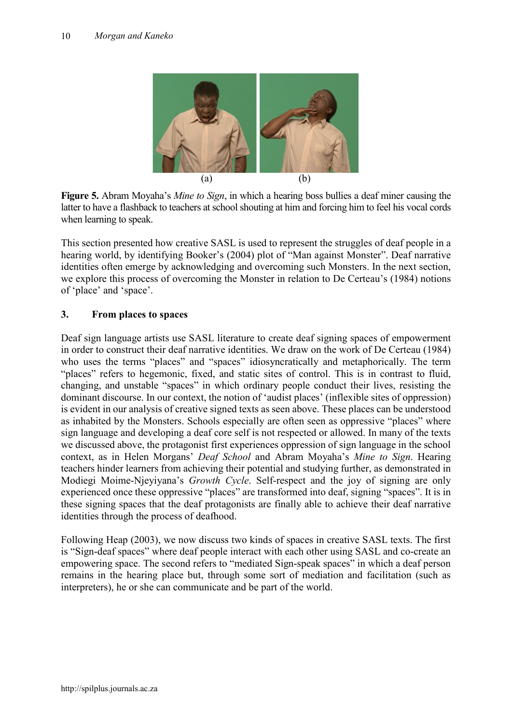

**Figure 5.** Abram Moyaha's *Mine to Sign*, in which a hearing boss bullies a deaf miner causing the latter to have a flashback to teachers at school shouting at him and forcing him to feel his vocal cords when learning to speak.

This section presented how creative SASL is used to represent the struggles of deaf people in a hearing world, by identifying Booker's (2004) plot of "Man against Monster". Deaf narrative identities often emerge by acknowledging and overcoming such Monsters. In the next section, we explore this process of overcoming the Monster in relation to De Certeau's (1984) notions of 'place' and 'space'.

### **3. From places to spaces**

Deaf sign language artists use SASL literature to create deaf signing spaces of empowerment in order to construct their deaf narrative identities. We draw on the work of De Certeau (1984) who uses the terms "places" and "spaces" idiosyncratically and metaphorically. The term "places" refers to hegemonic, fixed, and static sites of control. This is in contrast to fluid, changing, and unstable "spaces" in which ordinary people conduct their lives, resisting the dominant discourse. In our context, the notion of 'audist places' (inflexible sites of oppression) is evident in our analysis of creative signed texts as seen above. These places can be understood as inhabited by the Monsters. Schools especially are often seen as oppressive "places" where sign language and developing a deaf core self is not respected or allowed. In many of the texts we discussed above, the protagonist first experiences oppression of sign language in the school context, as in Helen Morgans' *Deaf School* and Abram Moyaha's *Mine to Sign*. Hearing teachers hinder learners from achieving their potential and studying further, as demonstrated in Modiegi Moime-Njeyiyana's *Growth Cycle*. Self-respect and the joy of signing are only experienced once these oppressive "places" are transformed into deaf, signing "spaces". It is in these signing spaces that the deaf protagonists are finally able to achieve their deaf narrative identities through the process of deafhood.

Following Heap (2003), we now discuss two kinds of spaces in creative SASL texts. The first is "Sign-deaf spaces" where deaf people interact with each other using SASL and co-create an empowering space. The second refers to "mediated Sign-speak spaces" in which a deaf person remains in the hearing place but, through some sort of mediation and facilitation (such as interpreters), he or she can communicate and be part of the world.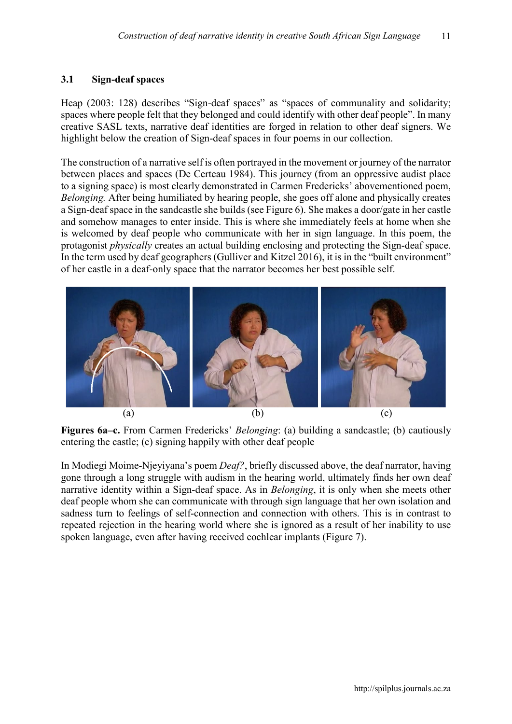#### **3.1 Sign-deaf spaces**

Heap (2003: 128) describes "Sign-deaf spaces" as "spaces of communality and solidarity; spaces where people felt that they belonged and could identify with other deaf people". In many creative SASL texts, narrative deaf identities are forged in relation to other deaf signers. We highlight below the creation of Sign-deaf spaces in four poems in our collection.

The construction of a narrative self is often portrayed in the movement or journey of the narrator between places and spaces (De Certeau 1984). This journey (from an oppressive audist place to a signing space) is most clearly demonstrated in Carmen Fredericks' abovementioned poem, *Belonging.* After being humiliated by hearing people, she goes off alone and physically creates a Sign-deaf space in the sandcastle she builds (see Figure 6). She makes a door/gate in her castle and somehow manages to enter inside. This is where she immediately feels at home when she is welcomed by deaf people who communicate with her in sign language. In this poem, the protagonist *physically* creates an actual building enclosing and protecting the Sign-deaf space. In the term used by deaf geographers (Gulliver and Kitzel 2016), it is in the "built environment" of her castle in a deaf-only space that the narrator becomes her best possible self.



**Figures 6a–c.** From Carmen Fredericks' *Belonging*: (a) building a sandcastle; (b) cautiously entering the castle; (c) signing happily with other deaf people

In Modiegi Moime-Njeyiyana's poem *Deaf?*, briefly discussed above, the deaf narrator, having gone through a long struggle with audism in the hearing world, ultimately finds her own deaf narrative identity within a Sign-deaf space. As in *Belonging*, it is only when she meets other deaf people whom she can communicate with through sign language that her own isolation and sadness turn to feelings of self-connection and connection with others. This is in contrast to repeated rejection in the hearing world where she is ignored as a result of her inability to use spoken language, even after having received cochlear implants (Figure 7).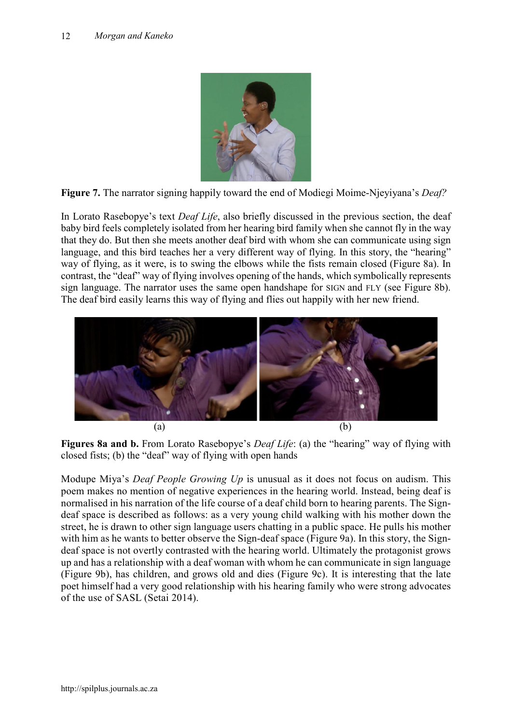

**Figure 7.** The narrator signing happily toward the end of Modiegi Moime-Njeyiyana's *Deaf?*

In Lorato Rasebopye's text *Deaf Life*, also briefly discussed in the previous section, the deaf baby bird feels completely isolated from her hearing bird family when she cannot fly in the way that they do. But then she meets another deaf bird with whom she can communicate using sign language, and this bird teaches her a very different way of flying. In this story, the "hearing" way of flying, as it were, is to swing the elbows while the fists remain closed (Figure 8a). In contrast, the "deaf" way of flying involves opening of the hands, which symbolically represents sign language. The narrator uses the same open handshape for SIGN and FLY (see Figure 8b). The deaf bird easily learns this way of flying and flies out happily with her new friend.



**Figures 8a and b.** From Lorato Rasebopye's *Deaf Life*: (a) the "hearing" way of flying with closed fists; (b) the "deaf" way of flying with open hands

Modupe Miya's *Deaf People Growing Up* is unusual as it does not focus on audism. This poem makes no mention of negative experiences in the hearing world. Instead, being deaf is normalised in his narration of the life course of a deaf child born to hearing parents. The Signdeaf space is described as follows: as a very young child walking with his mother down the street, he is drawn to other sign language users chatting in a public space. He pulls his mother with him as he wants to better observe the Sign-deaf space (Figure 9a). In this story, the Signdeaf space is not overtly contrasted with the hearing world. Ultimately the protagonist grows up and has a relationship with a deaf woman with whom he can communicate in sign language (Figure 9b), has children, and grows old and dies (Figure 9c). It is interesting that the late poet himself had a very good relationship with his hearing family who were strong advocates of the use of SASL (Setai 2014).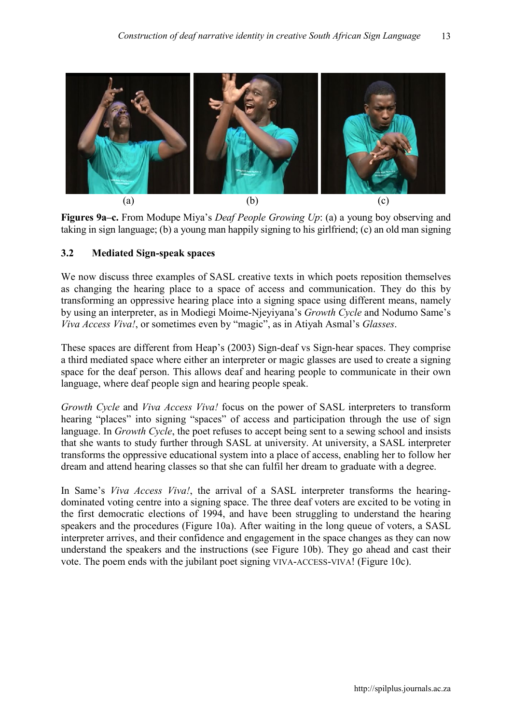

**Figures 9a–c.** From Modupe Miya's *Deaf People Growing Up*: (a) a young boy observing and taking in sign language; (b) a young man happily signing to his girlfriend; (c) an old man signing

#### **3.2 Mediated Sign-speak spaces**

We now discuss three examples of SASL creative texts in which poets reposition themselves as changing the hearing place to a space of access and communication. They do this by transforming an oppressive hearing place into a signing space using different means, namely by using an interpreter, as in Modiegi Moime-Njeyiyana's *Growth Cycle* and Nodumo Same's *Viva Access Viva!*, or sometimes even by "magic", as in Atiyah Asmal's *Glasses*.

These spaces are different from Heap's (2003) Sign-deaf vs Sign-hear spaces. They comprise a third mediated space where either an interpreter or magic glasses are used to create a signing space for the deaf person. This allows deaf and hearing people to communicate in their own language, where deaf people sign and hearing people speak.

*Growth Cycle* and *Viva Access Viva!* focus on the power of SASL interpreters to transform hearing "places" into signing "spaces" of access and participation through the use of sign language. In *Growth Cycle*, the poet refuses to accept being sent to a sewing school and insists that she wants to study further through SASL at university. At university, a SASL interpreter transforms the oppressive educational system into a place of access, enabling her to follow her dream and attend hearing classes so that she can fulfil her dream to graduate with a degree.

In Same's *Viva Access Viva!*, the arrival of a SASL interpreter transforms the hearingdominated voting centre into a signing space. The three deaf voters are excited to be voting in the first democratic elections of 1994, and have been struggling to understand the hearing speakers and the procedures (Figure 10a). After waiting in the long queue of voters, a SASL interpreter arrives, and their confidence and engagement in the space changes as they can now understand the speakers and the instructions (see Figure 10b). They go ahead and cast their vote. The poem ends with the jubilant poet signing VIVA-ACCESS-VIVA! (Figure 10c).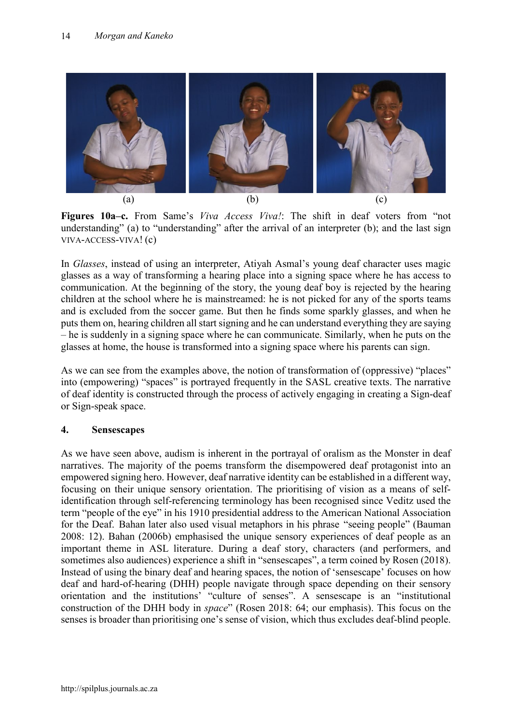

**Figures 10a–c.** From Same's *Viva Access Viva!*: The shift in deaf voters from "not understanding" (a) to "understanding" after the arrival of an interpreter (b); and the last sign VIVA-ACCESS-VIVA! (c)

In *Glasses*, instead of using an interpreter, Atiyah Asmal's young deaf character uses magic glasses as a way of transforming a hearing place into a signing space where he has access to communication. At the beginning of the story, the young deaf boy is rejected by the hearing children at the school where he is mainstreamed: he is not picked for any of the sports teams and is excluded from the soccer game. But then he finds some sparkly glasses, and when he puts them on, hearing children all start signing and he can understand everything they are saying – he is suddenly in a signing space where he can communicate. Similarly, when he puts on the glasses at home, the house is transformed into a signing space where his parents can sign.

As we can see from the examples above, the notion of transformation of (oppressive) "places" into (empowering) "spaces" is portrayed frequently in the SASL creative texts. The narrative of deaf identity is constructed through the process of actively engaging in creating a Sign-deaf or Sign-speak space.

### **4. Sensescapes**

As we have seen above, audism is inherent in the portrayal of oralism as the Monster in deaf narratives. The majority of the poems transform the disempowered deaf protagonist into an empowered signing hero. However, deaf narrative identity can be established in a different way, focusing on their unique sensory orientation. The prioritising of vision as a means of selfidentification through self-referencing terminology has been recognised since Veditz used the term "people of the eye" in his 1910 presidential address to the American National Association for the Deaf. Bahan later also used visual metaphors in his phrase "seeing people" (Bauman 2008: 12). Bahan (2006b) emphasised the unique sensory experiences of deaf people as an important theme in ASL literature. During a deaf story, characters (and performers, and sometimes also audiences) experience a shift in "sensescapes", a term coined by Rosen (2018). Instead of using the binary deaf and hearing spaces, the notion of 'sensescape' focuses on how deaf and hard-of-hearing (DHH) people navigate through space depending on their sensory orientation and the institutions' "culture of senses". A sensescape is an "institutional construction of the DHH body in *space*" (Rosen 2018: 64; our emphasis). This focus on the senses is broader than prioritising one's sense of vision, which thus excludes deaf-blind people.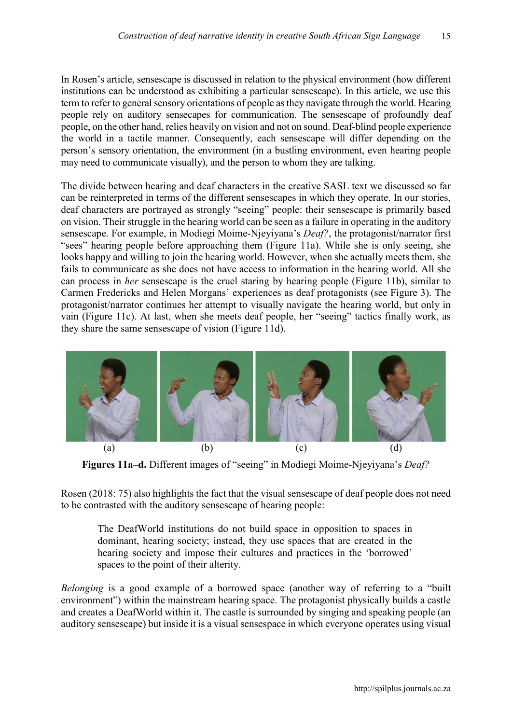In Rosen's article, sensescape is discussed in relation to the physical environment (how different institutions can be understood as exhibiting a particular sensescape). In this article, we use this term to refer to general sensory orientations of people as they navigate through the world. Hearing people rely on auditory sensecapes for communication. The sensescape of profoundly deaf people, on the other hand, relies heavily on vision and not on sound. Deaf-blind people experience the world in a tactile manner. Consequently, each sensescape will differ depending on the person's sensory orientation, the environment (in a bustling environment, even hearing people may need to communicate visually), and the person to whom they are talking.

The divide between hearing and deaf characters in the creative SASL text we discussed so far can be reinterpreted in terms of the different sensescapes in which they operate. In our stories, deaf characters are portrayed as strongly "seeing" people: their sensescape is primarily based on vision. Their struggle in the hearing world can be seen as a failure in operating in the auditory sensescape. For example, in Modiegi Moime-Njeyiyana's *Deaf?*, the protagonist/narrator first "sees" hearing people before approaching them (Figure 11a). While she is only seeing, she looks happy and willing to join the hearing world. However, when she actually meets them, she fails to communicate as she does not have access to information in the hearing world. All she can process in *her* sensescape is the cruel staring by hearing people (Figure 11b), similar to Carmen Fredericks and Helen Morgans' experiences as deaf protagonists (see Figure 3). The protagonist/narrator continues her attempt to visually navigate the hearing world, but only in vain (Figure 11c). At last, when she meets deaf people, her "seeing" tactics finally work, as they share the same sensescape of vision (Figure 11d).



**Figures 11a–d.** Different images of "seeing" in Modiegi Moime-Njeyiyana's *Deaf?*

Rosen (2018: 75) also highlights the fact that the visual sensescape of deaf people does not need to be contrasted with the auditory sensescape of hearing people:

The DeafWorld institutions do not build space in opposition to spaces in dominant, hearing society; instead, they use spaces that are created in the hearing society and impose their cultures and practices in the 'borrowed' spaces to the point of their alterity.

*Belonging* is a good example of a borrowed space (another way of referring to a "built environment") within the mainstream hearing space. The protagonist physically builds a castle and creates a DeafWorld within it. The castle is surrounded by singing and speaking people (an auditory sensescape) but inside it is a visual sensespace in which everyone operates using visual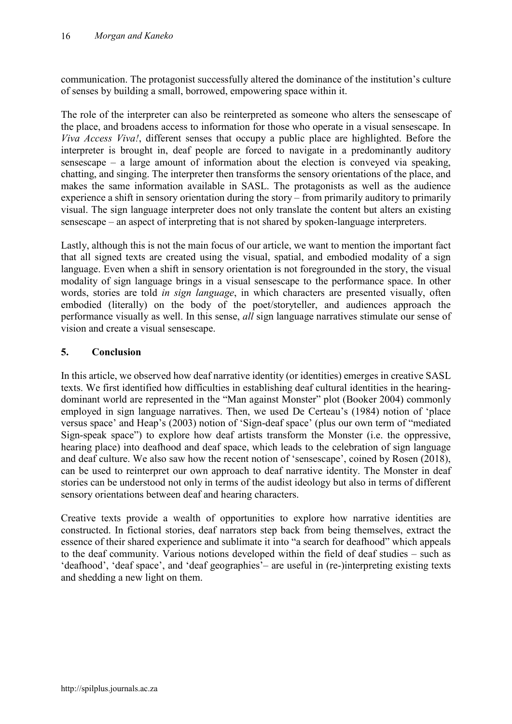communication. The protagonist successfully altered the dominance of the institution's culture of senses by building a small, borrowed, empowering space within it.

The role of the interpreter can also be reinterpreted as someone who alters the sensescape of the place, and broadens access to information for those who operate in a visual sensescape. In *Viva Access Viva!*, different senses that occupy a public place are highlighted. Before the interpreter is brought in, deaf people are forced to navigate in a predominantly auditory sensescape – a large amount of information about the election is conveyed via speaking, chatting, and singing. The interpreter then transforms the sensory orientations of the place, and makes the same information available in SASL. The protagonists as well as the audience experience a shift in sensory orientation during the story – from primarily auditory to primarily visual. The sign language interpreter does not only translate the content but alters an existing sensescape – an aspect of interpreting that is not shared by spoken-language interpreters.

Lastly, although this is not the main focus of our article, we want to mention the important fact that all signed texts are created using the visual, spatial, and embodied modality of a sign language. Even when a shift in sensory orientation is not foregrounded in the story, the visual modality of sign language brings in a visual sensescape to the performance space. In other words, stories are told *in sign language*, in which characters are presented visually, often embodied (literally) on the body of the poet/storyteller, and audiences approach the performance visually as well. In this sense, *all* sign language narratives stimulate our sense of vision and create a visual sensescape.

## **5. Conclusion**

In this article, we observed how deaf narrative identity (or identities) emerges in creative SASL texts. We first identified how difficulties in establishing deaf cultural identities in the hearingdominant world are represented in the "Man against Monster" plot (Booker 2004) commonly employed in sign language narratives. Then, we used De Certeau's (1984) notion of 'place versus space' and Heap's (2003) notion of 'Sign-deaf space' (plus our own term of "mediated Sign-speak space") to explore how deaf artists transform the Monster (i.e. the oppressive, hearing place) into deafhood and deaf space, which leads to the celebration of sign language and deaf culture. We also saw how the recent notion of 'sensescape', coined by Rosen (2018), can be used to reinterpret our own approach to deaf narrative identity. The Monster in deaf stories can be understood not only in terms of the audist ideology but also in terms of different sensory orientations between deaf and hearing characters.

Creative texts provide a wealth of opportunities to explore how narrative identities are constructed. In fictional stories, deaf narrators step back from being themselves, extract the essence of their shared experience and sublimate it into "a search for deafhood" which appeals to the deaf community. Various notions developed within the field of deaf studies – such as 'deafhood', 'deaf space', and 'deaf geographies'– are useful in (re-)interpreting existing texts and shedding a new light on them.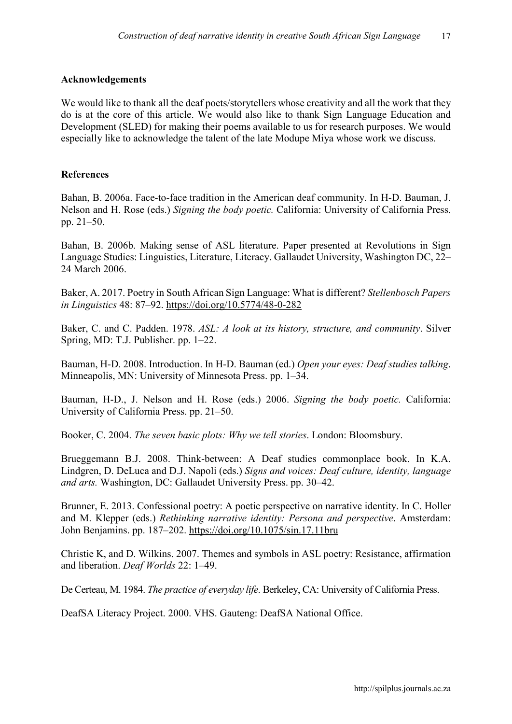#### **Acknowledgements**

We would like to thank all the deaf poets/storytellers whose creativity and all the work that they do is at the core of this article. We would also like to thank Sign Language Education and Development (SLED) for making their poems available to us for research purposes. We would especially like to acknowledge the talent of the late Modupe Miya whose work we discuss.

#### **References**

Bahan, B. 2006a. Face-to-face tradition in the American deaf community. In H-D. Bauman, J. Nelson and H. Rose (eds.) *Signing the body poetic.* California: University of California Press. pp. 21–50.

Bahan, B. 2006b. Making sense of ASL literature. Paper presented at Revolutions in Sign Language Studies: Linguistics, Literature, Literacy. Gallaudet University, Washington DC, 22– 24 March 2006.

Baker, A. 2017. Poetry in South African Sign Language: What is different? *Stellenbosch Papers in Linguistics* 48: 87–92. <https://doi.org/10.5774/48-0-282>

Baker, C. and C. Padden. 1978. *ASL: A look at its history, structure, and community*. Silver Spring, MD: T.J. Publisher. pp. 1–22.

Bauman, H-D. 2008. Introduction. In H-D. Bauman (ed.) *Open your eyes: Deaf studies talking*. Minneapolis, MN: University of Minnesota Press. pp. 1–34.

Bauman, H-D., J. Nelson and H. Rose (eds.) 2006. *Signing the body poetic.* California: University of California Press. pp. 21–50.

Booker, C. 2004. *The seven basic plots: Why we tell stories*. London: Bloomsbury.

Brueggemann B.J. 2008. Think-between: A Deaf studies commonplace book. In K.A. Lindgren, D. DeLuca and D.J. Napoli (eds.) *Signs and voices: Deaf culture, identity, language and arts.* Washington, DC: Gallaudet University Press. pp. 30–42.

Brunner, E. 2013. Confessional poetry: A poetic perspective on narrative identity. In C. Holler and M. Klepper (eds.) *Rethinking narrative identity: Persona and perspective*. Amsterdam: John Benjamins. pp. 187–202. <https://doi.org/10.1075/sin.17.11bru>

Christie K, and D. Wilkins. 2007. Themes and symbols in ASL poetry: Resistance, affirmation and liberation. *Deaf Worlds* 22: 1–49.

De Certeau, M. 1984. *The practice of everyday life*. Berkeley, CA: University of California Press.

DeafSA Literacy Project. 2000. VHS. Gauteng: DeafSA National Office.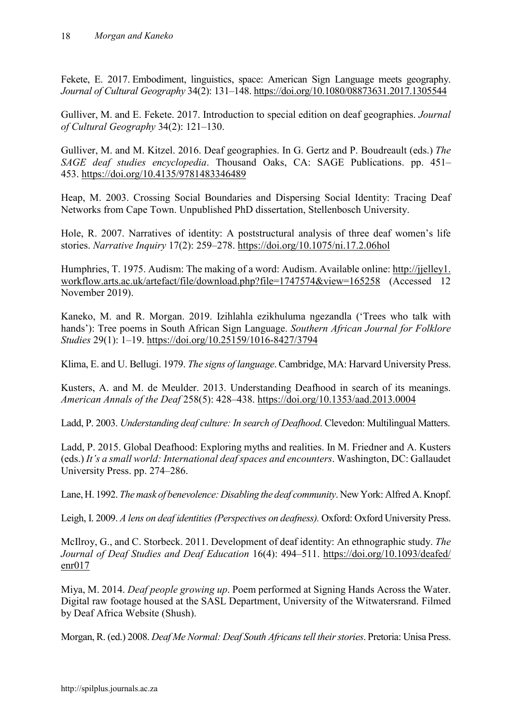Fekete, E. 2017. Embodiment, linguistics, space: American Sign Language meets geography. *Journal of Cultural Geography* 34(2): 131–148. [https://doi.org/10.1080/08873631.2017.1305544](https://doi.org/10.1080/08873631.2017.130%E2%80%8C5544)

Gulliver, M. and E. Fekete. 2017. Introduction to special edition on deaf geographies. *Journal of Cultural Geography* 34(2): 121–130.

Gulliver, M. and M. Kitzel. 2016. Deaf geographies. In G. Gertz and P. Boudreault (eds.) *The SAGE deaf studies encyclopedia*. Thousand Oaks, CA: SAGE Publications. pp. 451– 453. <https://doi.org/10.4135/9781483346489>

Heap, M. 2003. Crossing Social Boundaries and Dispersing Social Identity: Tracing Deaf Networks from Cape Town. Unpublished PhD dissertation, Stellenbosch University.

Hole, R. 2007. Narratives of identity: A poststructural analysis of three deaf women's life stories. *Narrative Inquiry* 17(2): 259–278. <https://doi.org/10.1075/ni.17.2.06hol>

Humphries, T. 1975. Audism: The making of a word: Audism. Available online: [http://jjelley1.](http://jjelley1.workflow.arts.ac.uk/artefact/file/download.php?file=1747574&view=165258) [workflow.arts.ac.uk/artefact/file/download.php?file=1747574&view=165258](http://jjelley1.workflow.arts.ac.uk/artefact/file/download.php?file=1747574&view=165258) (Accessed 12 November 2019).

Kaneko, M. and R. Morgan. 2019. Izihlahla ezikhuluma ngezandla ('Trees who talk with hands'): Tree poems in South African Sign Language. *Southern African Journal for Folklore Studies* 29(1): 1–19. <https://doi.org/10.25159/1016-8427/3794>

Klima, E. and U. Bellugi. 1979. *The signs of language*. Cambridge, MA: Harvard University Press.

Kusters, A. and M. de Meulder. 2013. Understanding Deafhood in search of its meanings. *American Annals of the Deaf* 258(5): 428–438. <https://doi.org/10.1353/aad.2013.0004>

Ladd, P. 2003. *Understanding deaf culture: In search of Deafhood*. Clevedon: Multilingual Matters.

Ladd, P. 2015. Global Deafhood: Exploring myths and realities. In M. Friedner and A. Kusters (eds.) *It's a small world: International deaf spaces and encounters*. Washington, DC: Gallaudet University Press. pp. 274–286.

Lane, H. 1992. *The mask of benevolence: Disabling the deaf community*. New York: Alfred A. Knopf.

Leigh, I. 2009. *A lens on deaf identities (Perspectives on deafness)*. Oxford: Oxford University Press.

McIlroy, G., and C. Storbeck. 2011. Development of deaf identity: An ethnographic study. *The Journal of Deaf Studies and Deaf Education* 16(4): 494–511. [https://doi.org/10.1093/deafed/](https://doi.org/10.1093/deafed/%E2%80%8Cenr017) [enr017](https://doi.org/10.1093/deafed/%E2%80%8Cenr017)

Miya, M. 2014. *Deaf people growing up*. Poem performed at Signing Hands Across the Water. Digital raw footage housed at the SASL Department, University of the Witwatersrand. Filmed by Deaf Africa Website (Shush).

Morgan, R. (ed.) 2008. *Deaf Me Normal: Deaf South Africans tell their stories*. Pretoria: Unisa Press.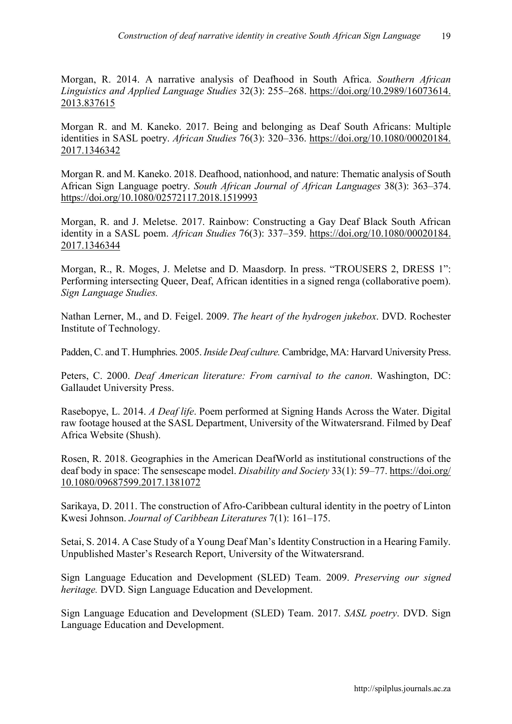Morgan, R. 2014. A narrative analysis of Deafhood in South Africa. *Southern African Linguistics and Applied Language Studies* 32(3): 255–268. [https://doi.org/10.2989/16073614.](https://doi.org/10.2989/16073614.%E2%80%8C2013.837615) [2013.837615](https://doi.org/10.2989/16073614.%E2%80%8C2013.837615)

Morgan R. and M. Kaneko. 2017. Being and belonging as Deaf South Africans: Multiple identities in SASL poetry. *African Studies* 76(3): 320–336. [https://doi.org/10.1080/00020184.](https://doi.org/10.1080/00020184.%E2%80%8C2017.1346342) [2017.1346342](https://doi.org/10.1080/00020184.%E2%80%8C2017.1346342)

Morgan R. and M. Kaneko. 2018. Deafhood, nationhood, and nature: Thematic analysis of South African Sign Language poetry. *South African Journal of African Languages* 38(3): 363–374. <https://doi.org/10.1080/02572117.2018.1519993>

Morgan, R. and J. Meletse. 2017. Rainbow: Constructing a Gay Deaf Black South African identity in a SASL poem. *African Studies* 76(3): 337–359. [https://doi.org/10.1080/00020184.](https://doi.org/10.1080/00020184.2017.1346344) [2017.1346344](https://doi.org/10.1080/00020184.2017.1346344)

Morgan, R., R. Moges, J. Meletse and D. Maasdorp. In press. "TROUSERS 2, DRESS 1": Performing intersecting Queer, Deaf, African identities in a signed renga (collaborative poem). *Sign Language Studies.*

Nathan Lerner, M., and D. Feigel. 2009. *The heart of the hydrogen jukebox*. DVD. Rochester Institute of Technology.

Padden, C. and T. Humphries. 2005. *Inside Deaf culture.* Cambridge, MA: Harvard University Press.

Peters, C. 2000. *Deaf American literature: From carnival to the canon*. Washington, DC: Gallaudet University Press.

Rasebopye, L. 2014. *A Deaf life*. Poem performed at Signing Hands Across the Water. Digital raw footage housed at the SASL Department, University of the Witwatersrand. Filmed by Deaf Africa Website (Shush).

Rosen, R. 2018. Geographies in the American DeafWorld as institutional constructions of the deaf body in space: The sensescape model. *Disability and Society* 33(1): 59–77. [https://doi.org/](https://doi.org/10.1080/09687599.2017.1381072) [10.1080/09687599.2017.1381072](https://doi.org/10.1080/09687599.2017.1381072)

Sarikaya, D. 2011. The construction of Afro-Caribbean cultural identity in the poetry of Linton Kwesi Johnson. *Journal of Caribbean Literatures* 7(1): 161–175.

Setai, S. 2014. A Case Study of a Young Deaf Man's Identity Construction in a Hearing Family. Unpublished Master's Research Report, University of the Witwatersrand.

Sign Language Education and Development (SLED) Team. 2009. *Preserving our signed heritage.* DVD. Sign Language Education and Development.

Sign Language Education and Development (SLED) Team. 2017. *SASL poetry*. DVD. Sign Language Education and Development.